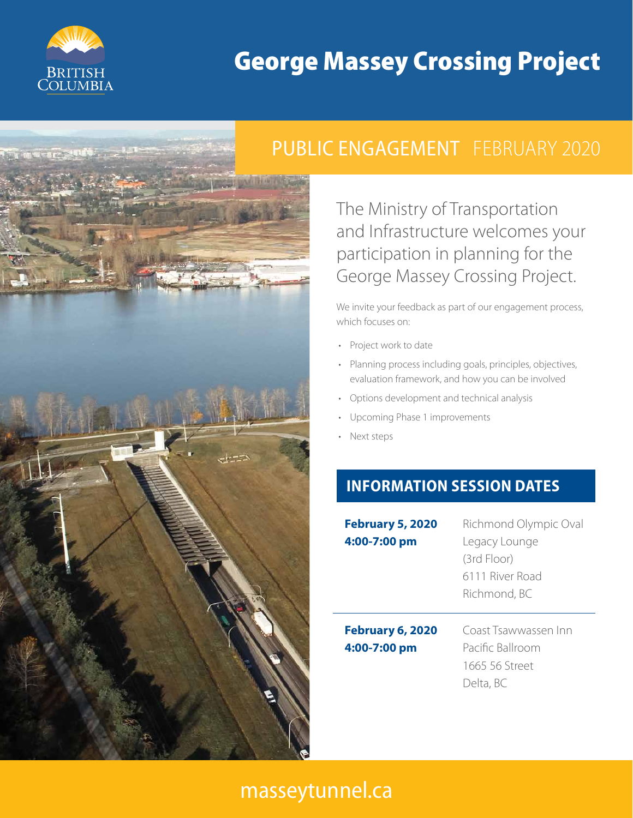

# George Massey Crossing Project



The Ministry of Transportation and Infrastructure welcomes your participation in planning for the George Massey Crossing Project.

We invite your feedback as part of our engagement process, which focuses on:

- Project work to date
- Planning process including goals, principles, objectives, evaluation framework, and how you can be involved
- Options development and technical analysis
- Upcoming Phase 1 improvements
- Next steps

#### **INFORMATION SESSION DATES**

| <b>February 5, 2020</b><br>4:00-7:00 pm | Richmond Olympic Oval<br>Legacy Lounge<br>(3rd Floor)<br>6111 River Road<br>Richmond, BC |
|-----------------------------------------|------------------------------------------------------------------------------------------|
| <b>February 6, 2020</b><br>4:00-7:00 pm | Coast Tsawwassen Inn<br>Pacific Ballroom<br>1665 56 Street<br>Delta, BC                  |

### masseytunnel.ca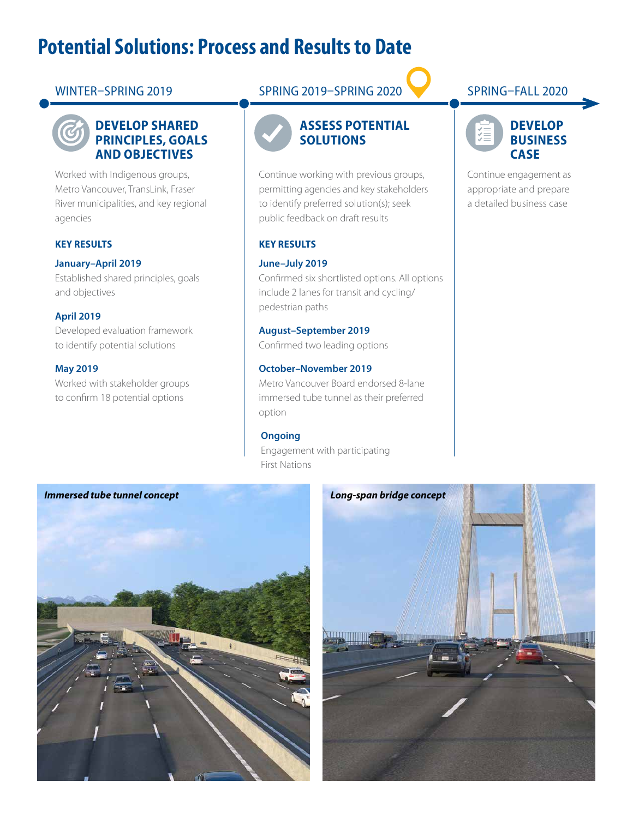### **Potential Solutions: Process and Results to Date**



#### **DEVELOP SHARED PRINCIPLES, GOALS AND OBJECTIVES**

Worked with Indigenous groups, Metro Vancouver, TransLink, Fraser River municipalities, and key regional agencies

#### **KEY RESULTS**

#### **January–April 2019**

Established shared principles, goals and objectives

#### **April 2019**

Developed evaluation framework to identify potential solutions

#### **May 2019**

Worked with stakeholder groups to confirm 18 potential options

WINTER–SPRING 2019 SPRING 2019–SPRING 2020 SPRING–FALL 2020

### **ASSESS POTENTIAL SOLUTIONS**

Continue working with previous groups, permitting agencies and key stakeholders to identify preferred solution(s); seek public feedback on draft results

#### **KEY RESULTS**

#### **June–July 2019**

Confirmed six shortlisted options. All options include 2 lanes for transit and cycling/ pedestrian paths

#### **August–September 2019**

Confirmed two leading options

#### **October–November 2019**

Metro Vancouver Board endorsed 8-lane immersed tube tunnel as their preferred option

#### **Ongoing**

Engagement with participating First Nations



Continue engagement as appropriate and prepare a detailed business case



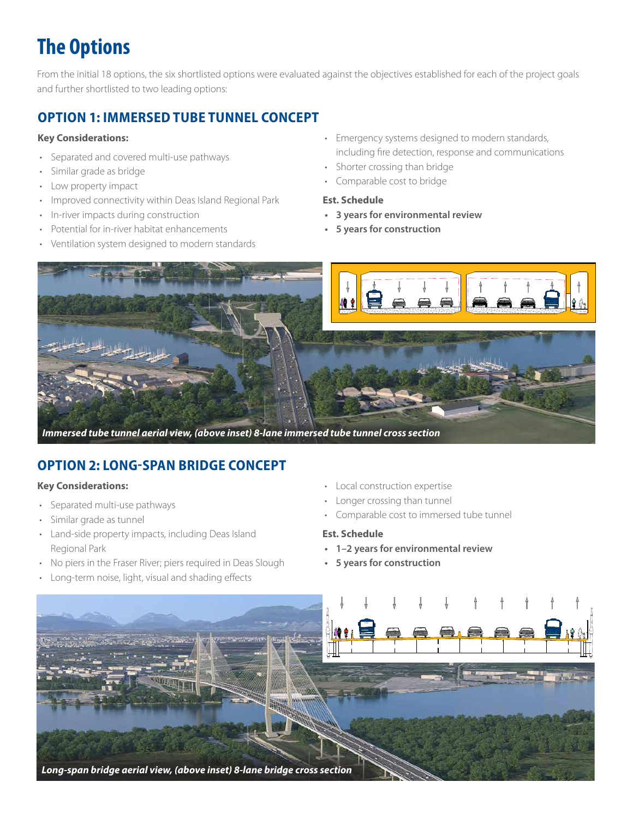# **The Options**

From the initial 18 options, the six shortlisted options were evaluated against the objectives established for each of the project goals and further shortlisted to two leading options:

### **OPTION 1: IMMERSED TUBE TUNNEL CONCEPT**

#### **Key Considerations:**

- Separated and covered multi-use pathways
- Similar grade as bridge
- Low property impact
- Improved connectivity within Deas Island Regional Park
- In-river impacts during construction
- Potential for in-river habitat enhancements
- Ventilation system designed to modern standards
- Emergency systems designed to modern standards, including fire detection, response and communications
- Shorter crossing than bridge
- Comparable cost to bridge

#### **Est. Schedule**

- **• 3 years for environmental review**
- **• 5 years for construction**



*Immersed tube tunnel aerial view, (above inset) 8-lane immersed tube tunnel cross section*

#### **OPTION 2: LONG-SPAN BRIDGE CONCEPT**

#### **Key Considerations:**

- Separated multi-use pathways
- Similar grade as tunnel
- Land-side property impacts, including Deas Island Regional Park
- No piers in the Fraser River; piers required in Deas Slough
- Long-term noise, light, visual and shading effects
- Local construction expertise
- Longer crossing than tunnel
- Comparable cost to immersed tube tunnel

#### **Est. Schedule**

- **• 1–2 years for environmental review**
- **• 5 years for construction**